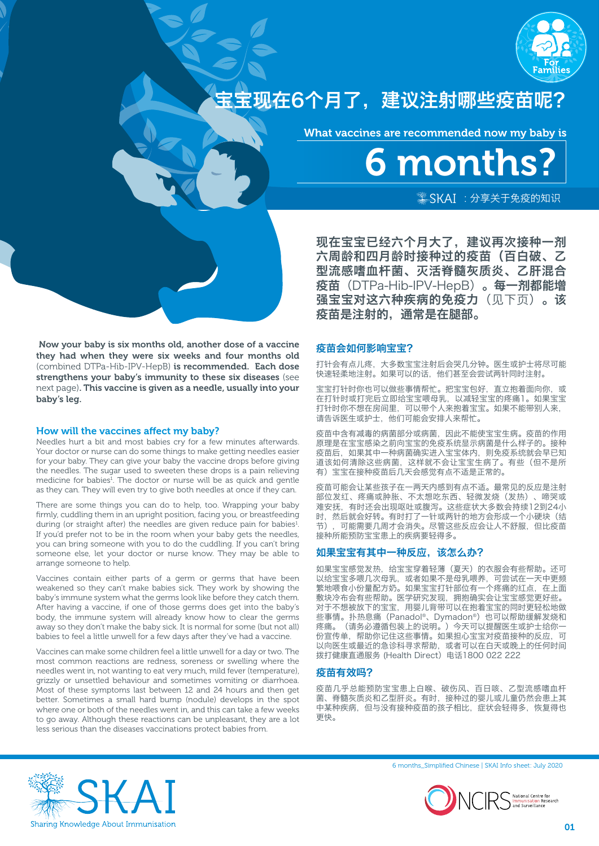

# 宝宝现在6个月了,建议注射哪些疫苗呢?

What vaccines are recommended now my baby is

6 months?  $*$ SKAI : 分享关于免疫的知识

现在宝宝已经六个月大了,建议再次接种一剂 六周龄和四月龄时接种过的疫苗(百白破、乙 型流感嗜血杆菌、灭活脊髓灰质炎、乙肝混合 疫苗(DTPa-Hib-IPV-HepB)。每一剂都能增 强宝宝对这六种疾病的免疫力(见下页)。该 疫苗是注射的,通常是在腿部。

# 疫苗会如何影响宝宝?

打针会有点儿疼,大多数宝宝注射后会哭几分钟。医生或护士将尽可能 快速轻柔地注射。如果可以的话,他们甚至会尝试两针同时注射。

宝宝打针时你也可以做些事情帮忙。把宝宝包好,直立抱着面向你,或 在打针时或打完后立即给宝宝喂母乳,以减轻宝宝的疼痛1。如果宝宝 打针时你不想在房间里,可以带个人来抱着宝宝。如果不能带别人来, 请告诉医生或护士,他们可能会安排人来帮忙。

疫苗中含有减毒的病菌部分或病菌,因此不能使宝宝生病。疫苗的作用 原理是在宝宝感染之前向宝宝的免疫系统显示病菌是什么样子的。接种 疫苗后,如果其中一种病菌确实进入宝宝体内,则免疫系统就会早已知 道该如何清除这些病菌,这样就不会让宝宝生病了。有些(但不是所 有)宝宝在接种疫苗后几天会感觉有点不适是正常的。

疫苗可能会让某些孩子在一两天内感到有点不适。最常见的反应是注射 部位发红、疼痛或肿胀、不太想吃东西、轻微发烧(发热)、啼哭或 难安抚,有时还会出现呕吐或腹泻。这些症状大多数会持续12到24小 时, 然后就会好转。有时打了一针或两针的地方会形成一个小硬块(结 节),可能需要几周才会消失。尽管这些反应会让人不舒服,但比疫苗 接种所能预防宝宝患上的疾病要轻得多。

# 如果宝宝有其中一种反应,该怎么办?

如果宝宝感觉发热,给宝宝穿着轻薄(夏天)的衣服会有些帮助。还可 以给宝宝多喂几次母乳,或者如果不是母乳喂养,可尝试在一天中更频 繁地喂食小份量配方奶。如果宝宝打针部位有一个疼痛的红点,在上面 敷块冷布会有些帮助。医学研究发现,拥抱确实会让宝宝感觉更好些。 对于不想被放下的宝宝,用婴儿背带可以在抱着宝宝的同时更轻松地做 些事情。扑热息痛(Panadol®、Dymadon®)也可以帮助缓解发烧和 疼痛。(请务必遵循包装上的说明。)今天可以提醒医生或护士给你一 份宣传单,帮助你记住这些事情。如果担心宝宝对疫苗接种的反应,可 以向医生或最近的急诊科寻求帮助,或者可以在白天或晚上的任何时间 拨打健康直通服务 (Health Direct)电话1800 022 222

# 疫苗有效吗?

疫苗几乎总能预防宝宝患上白喉、破伤风、百日咳、乙型流感嗜血杆 菌、脊髓灰质炎和乙型肝炎。有时,接种过的婴儿或儿童仍然会患上其 中某种疾病,但与没有接种疫苗的孩子相比,症状会轻得多,恢复得也 更快。



6 months\_Simplified Chinese | SKAI Info sheet: July 2020



01

 Now your baby is six months old, another dose of a vaccine they had when they were six weeks and four months old (combined DTPa-Hib-IPV-HepB) is recommended. Each dose strengthens your baby's immunity to these six diseases (see next page). This vaccine is given as a needle, usually into your baby's leg.

# How will the vaccines affect my baby?

Needles hurt a bit and most babies cry for a few minutes afterwards. Your doctor or nurse can do some things to make getting needles easier for your baby. They can give your baby the vaccine drops before giving the needles. The sugar used to sweeten these drops is a pain relieving medicine for babies<sup>1</sup>. The doctor or nurse will be as quick and gentle as they can. They will even try to give both needles at once if they can.

There are some things you can do to help, too. Wrapping your baby firmly, cuddling them in an upright position, facing you, or breastfeeding during (or straight after) the needles are given reduce pain for babies<sup>1</sup>. If you'd prefer not to be in the room when your baby gets the needles, you can bring someone with you to do the cuddling. If you can't bring someone else, let your doctor or nurse know. They may be able to arrange someone to help.

Vaccines contain either parts of a germ or germs that have been weakened so they can't make babies sick. They work by showing the baby's immune system what the germs look like before they catch them. After having a vaccine, if one of those germs does get into the baby's body, the immune system will already know how to clear the germs away so they don't make the baby sick. It is normal for some (but not all) babies to feel a little unwell for a few days after they've had a vaccine.

Vaccines can make some children feel a little unwell for a day or two. The most common reactions are redness, soreness or swelling where the needles went in, not wanting to eat very much, mild fever (temperature), grizzly or unsettled behaviour and sometimes vomiting or diarrhoea. Most of these symptoms last between 12 and 24 hours and then get better. Sometimes a small hard bump (nodule) develops in the spot where one or both of the needles went in, and this can take a few weeks to go away. Although these reactions can be unpleasant, they are a lot less serious than the diseases vaccinations protect babies from.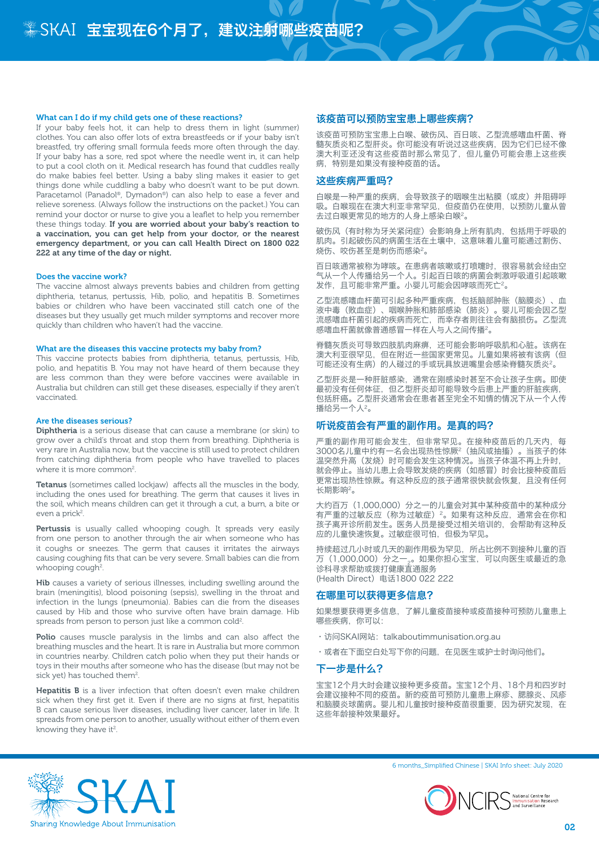## What can I do if my child gets one of these reactions?

If your baby feels hot, it can help to dress them in light (summer) clothes. You can also offer lots of extra breastfeeds or if your baby isn't breastfed, try offering small formula feeds more often through the day. If your baby has a sore, red spot where the needle went in, it can help to put a cool cloth on it. Medical research has found that cuddles really do make babies feel better. Using a baby sling makes it easier to get things done while cuddling a baby who doesn't want to be put down. Paracetamol (Panadol®, Dymadon®) can also help to ease a fever and relieve soreness. (Always follow the instructions on the packet.) You can remind your doctor or nurse to give you a leaflet to help you remember these things today. If you are worried about your baby's reaction to a vaccination, you can get help from your doctor, or the nearest emergency department, or you can call Health Direct on 1800 022 222 at any time of the day or night.

### Does the vaccine work?

The vaccine almost always prevents babies and children from getting diphtheria, tetanus, pertussis, Hib, polio, and hepatitis B. Sometimes babies or children who have been vaccinated still catch one of the diseases but they usually get much milder symptoms and recover more quickly than children who haven't had the vaccine.

## What are the diseases this vaccine protects my baby from?

This vaccine protects babies from diphtheria, tetanus, pertussis, Hib, polio, and hepatitis B. You may not have heard of them because they are less common than they were before vaccines were available in Australia but children can still get these diseases, especially if they aren't vaccinated.

#### Are the diseases serious?

Diphtheria is a serious disease that can cause a membrane (or skin) to grow over a child's throat and stop them from breathing. Diphtheria is very rare in Australia now, but the vaccine is still used to protect children from catching diphtheria from people who have travelled to places where it is more common<sup>2</sup>.

Tetanus (sometimes called lockjaw) affects all the muscles in the body, including the ones used for breathing. The germ that causes it lives in the soil, which means children can get it through a cut, a burn, a bite or even a prick<sup>2</sup>.

Pertussis is usually called whooping cough. It spreads very easily from one person to another through the air when someone who has it coughs or sneezes. The germ that causes it irritates the airways causing coughing fits that can be very severe. Small babies can die from whooping cough<sup>2</sup>.

Hib causes a variety of serious illnesses, including swelling around the brain (meningitis), blood poisoning (sepsis), swelling in the throat and infection in the lungs (pneumonia). Babies can die from the diseases caused by Hib and those who survive often have brain damage. Hib spreads from person to person just like a common cold<sup>2</sup>.

Polio causes muscle paralysis in the limbs and can also affect the breathing muscles and the heart. It is rare in Australia but more common in countries nearby. Children catch polio when they put their hands or toys in their mouths after someone who has the disease (but may not be sick yet) has touched them<sup>2</sup>.

Hepatitis B is a liver infection that often doesn't even make children sick when they first get it. Even if there are no signs at first, hepatitis B can cause serious liver diseases, including liver cancer, later in life. It spreads from one person to another, usually without either of them even knowing they have it<sup>2</sup>.

# 该疫苗可以预防宝宝患上哪些疾病?

该疫苗可预防宝宝患上白喉、破伤风、百日咳、乙型流感嗜血杆菌、脊 髓灰质炎和乙型肝炎。你可能没有听说过这些疾病,因为它们已经不像 澳大利亚还没有这些疫苗时那么常见了,但儿童仍可能会患上这些疾 病,特别是如果没有接种疫苗的话。

# 这些疾病严重吗?

白喉是一种严重的疾病,会导致孩子的咽喉生出粘膜(或皮)并阻碍呼 吸。白喉现在在澳大利亚非常罕见,但疫苗仍在使用,以预防儿童从曾 去过白喉更常见的地方的人身上感染白喉2。

破伤风(有时称为牙关紧闭症)会影响身上所有肌肉,包括用于呼吸的 肌肉。引起破伤风的病菌生活在土壤中,这意味着儿童可能通过割伤、 烧伤、咬伤甚至是刺伤而感染2。

百日咳通常被称为哮咳。在患病者咳嗽或打喷嚏时,很容易就会经由空 气从一个人传播给另一个人。引起百日咳的病菌会刺激呼吸道引起咳嗽 发作,且可能非常严重。小婴儿可能会因哮咳而死亡2。

乙型流感嗜血杆菌可引起多种严重疾病,包括脑部肿胀(脑膜炎)、血 液中毒(败血症)、咽喉肿胀和肺部感染(肺炎)。婴儿可能会因乙型 流感嗜血杆菌引起的疾病而死亡,而幸存者则往往会有脑损伤。乙型流 感嗜血杆菌就像普通感冒一样在人与人之间传播2。

脊髓灰质炎可导致四肢肌肉麻痹,还可能会影响呼吸肌和心脏。该病在 澳大利亚很罕见,但在附近一些国家更常见。儿童如果将被有该病(但 可能还没有生病)的人碰过的手或玩具放进嘴里会感染脊髓灰质炎2。

乙型肝炎是一种肝脏感染,通常在刚感染时甚至不会让孩子生病。即使 最初没有任何体征,但乙型肝炎却可能导致今后患上严重的肝脏疾病, 包括肝癌。乙型肝炎通常会在患者甚至完全不知情的情况下从一个人传 播给另一个人2。

# 听说疫苗会有严重的副作用。是真的吗?

严重的副作用可能会发生,但非常罕见。在接种疫苗后的几天内,每 3000名儿童中约有一名会出现热性惊厥2(抽风或抽搐)。当孩子的体 温突然升高(发烧)时可能会发生这种情况。当孩子体温不再上升时, 就会停止。当幼儿患上会导致发烧的疾病(如感冒)时会比接种疫苗后 更常出现热性惊厥。有这种反应的孩子通常很快就会恢复,且没有任何 长期影响2。

大约百万(1,000,000)分之一的儿童会对其中某种疫苗中的某种成分 有严重的过敏反应(称为过敏症) 2。如果有这种反应, 通常会在你和 孩子离开诊所前发生。医务人员是接受过相关培训的,会帮助有这种反 应的儿童快速恢复。过敏症很可怕,但极为罕见。

持续超过几小时或几天的副作用极为罕见,所占比例不到接种儿童的百 万(1,000,000)分之一<sub>。</sub>。如果你担心宝宝,可以向医生或最近的急<br>诊科寻求帮助或拨打健康直通服务 (Health Direct)电话1800 022 222

## 在哪里可以获得更多信息?

如果想要获得更多信息,了解儿童疫苗接种或疫苗接种可预防儿童患上 哪些疾病,你可以:

- · 访问SKAI网站: talkaboutimmunisation.org.au
- •或者在下面空白处写下你的问题,在见医生或护士时询问他们。

# 下一步是什么?

宝宝12个月大时会建议接种更多疫苗。宝宝12个月、18个月和四岁时 会建议接种不同的疫苗。新的疫苗可预防儿童患上麻疹、腮腺炎、风疹 和脑膜炎球菌病。婴儿和儿童按时接种疫苗很重要,因为研究发现,在 这些年龄接种效果最好。



6 months\_Simplified Chinese | SKAI Info sheet: July 2020